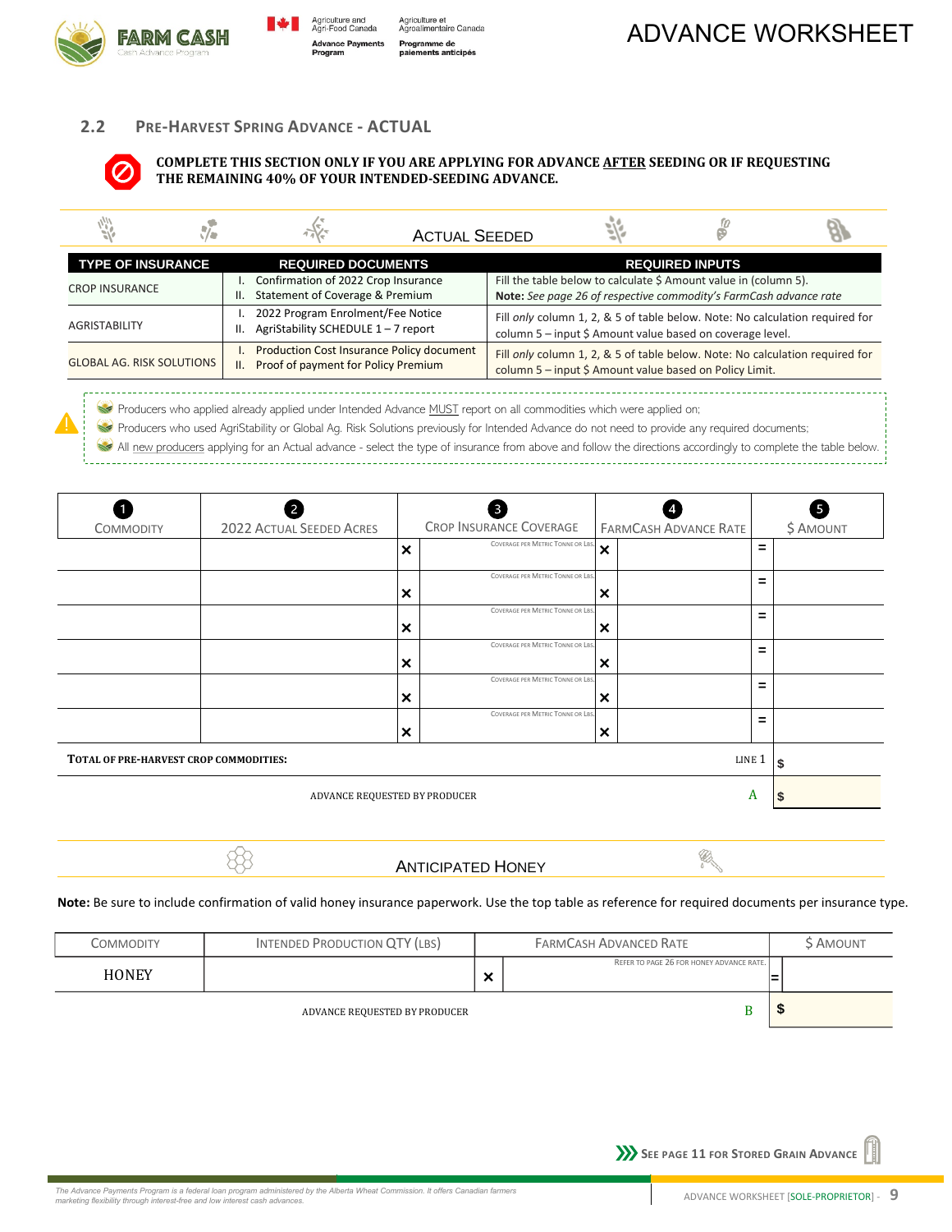



Agriculture et<br>Agroalimentaire Canada Programme de namme ae<br>ments anticipés

# **2.2 PRE-HARVEST SPRING ADVANCE - ACTUAL**



**COMPLETE THIS SECTION ONLY IF YOU ARE APPLYING FOR ADVANCE AFTER SEEDING OR IF REQUESTING THE REMAINING 40% OF YOUR INTENDED-SEEDING ADVANCE.** 

|                                  | <b>ACTUAL SEEDED</b>                                                                           |                                                                                                                                           |                        |  |
|----------------------------------|------------------------------------------------------------------------------------------------|-------------------------------------------------------------------------------------------------------------------------------------------|------------------------|--|
| <b>TYPE OF INSURANCE</b>         | <b>REQUIRED DOCUMENTS</b>                                                                      |                                                                                                                                           | <b>REQUIRED INPUTS</b> |  |
| <b>CROP INSURANCE</b>            | Confirmation of 2022 Crop Insurance<br>Statement of Coverage & Premium<br>Ш.                   | Fill the table below to calculate \$ Amount value in (column 5).<br>Note: See page 26 of respective commodity's FarmCash advance rate     |                        |  |
| <b>AGRISTABILITY</b>             | 2022 Program Enrolment/Fee Notice<br>AgriStability SCHEDULE 1-7 report<br>Ш.                   | Fill only column 1, 2, & 5 of table below. Note: No calculation required for<br>column 5 - input \$ Amount value based on coverage level. |                        |  |
| <b>GLOBAL AG. RISK SOLUTIONS</b> | <b>Production Cost Insurance Policy document</b><br>Proof of payment for Policy Premium<br>II. | Fill only column 1, 2, & 5 of table below. Note: No calculation required for<br>column 5 - input \$ Amount value based on Policy Limit.   |                        |  |

Producers who applied already applied under Intended Advance MUST report on all commodities which were applied on;  $\sim$ 

Producers who used AgriStability or Global Ag. Risk Solutions previously for Intended Advance do not need to provide any required documents; **Red** All new producers applying for an Actual advance - select the type of insurance from above and follow the directions accordingly to complete the table below.

| <b>COMMODITY</b>                                 | 2022 ACTUAL SEEDED ACRES |                           | CROP INSURANCE COVERAGE           |                           | <b>FARMCASH ADVANCE RATE</b> |     | Ø<br>\$ AMOUNT |
|--------------------------------------------------|--------------------------|---------------------------|-----------------------------------|---------------------------|------------------------------|-----|----------------|
|                                                  |                          | $\boldsymbol{\mathsf{x}}$ | COVERAGE PER METRIC TONNE OR LBS. | $\boldsymbol{\mathsf{x}}$ |                              | Ξ.  |                |
|                                                  |                          | ×                         | COVERAGE PER METRIC TONNE OR LBS. | ×                         |                              | =   |                |
|                                                  |                          | ×                         | COVERAGE PER METRIC TONNE OR LBS. | ×                         |                              | $=$ |                |
|                                                  |                          | $\boldsymbol{\mathsf{x}}$ | COVERAGE PER METRIC TONNE OR LBS. | ×                         |                              | Ξ   |                |
|                                                  |                          | ×                         | COVERAGE PER METRIC TONNE OR LBS. | ×                         |                              | $=$ |                |
|                                                  |                          | ×                         | COVERAGE PER METRIC TONNE OR LBS. | ×                         |                              | =   |                |
| TOTAL OF PRE-HARVEST CROP COMMODITIES:<br>LINE 1 |                          |                           |                                   |                           |                              | \$  |                |
| ADVANCE REQUESTED BY PRODUCER<br>A               |                          |                           |                                   |                           | ъ                            |     |                |

88

## ANTICIPATED HONEY

Ø

### **Note:** Be sure to include confirmation of valid honey insurance paperwork. Use the top table as reference for required documents per insurance type.

| Commodity    | <b>INTENDED PRODUCTION QTY (LBS)</b> |                                   | <b>FARMCASH ADVANCED RATE</b>            |   | AMOUNT |
|--------------|--------------------------------------|-----------------------------------|------------------------------------------|---|--------|
| <b>HONEY</b> |                                      | $\bullet$<br>$\ddot{\phantom{0}}$ | REFER TO PAGE 26 FOR HONEY ADVANCE RATE. | ⊨ |        |
|              | ADVANCE REQUESTED BY PRODUCER        |                                   |                                          |   |        |

**SEE PAGE 11 FOR STORED GRAIN ADVANCE**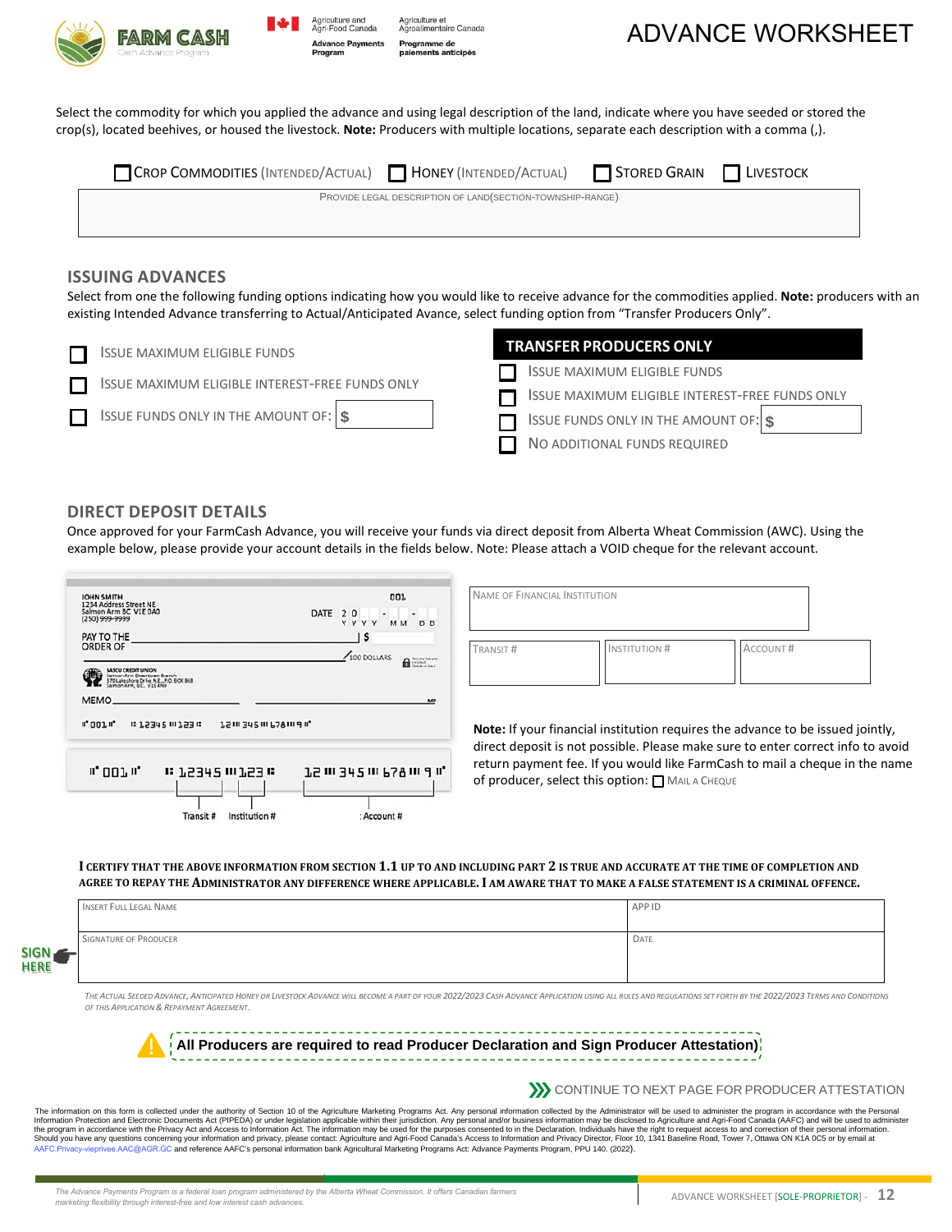



Agriculture et<br>Agroalimentaire Canada Programme de nents anticipés



Select the commodity for which you applied the advance and using legal description of the land, indicate where you have seeded or stored the crop(s), located beehives, or housed the livestock. **Note:** Producers with multiple locations, separate each description with a comma (,).

| <b>CROP COMMODITIES (INTENDED/ACTUAL) THONEY (INTENDED/ACTUAL)</b> TSTORED GRAIN TLIVESTOCK |                                                            |  |
|---------------------------------------------------------------------------------------------|------------------------------------------------------------|--|
|                                                                                             | PROVIDE LEGAL DESCRIPTION OF LAND (SECTION-TOWNSHIP-RANGE) |  |
|                                                                                             |                                                            |  |

# **ISSUING ADVANCES**

Select from one the following funding options indicating how you would like to receive advance for the commodities applied. **Note:** producers with an existing Intended Advance transferring to Actual/Anticipated Avance, select funding option from "Transfer Producers Only".

| <b>ISSUE MAXIMUM ELIGIBLE FUNDS</b>            | <b>TRANSFER PRODUCERS ONLY</b>                  |
|------------------------------------------------|-------------------------------------------------|
| SSUE MAXIMUM ELIGIBLE INTEREST-FREE FUNDS ONLY | <b>ISSUE MAXIMUM ELIGIBLE FUNDS</b>             |
|                                                | ISSUE MAXIMUM ELIGIBLE INTEREST-FREE FUNDS ONLY |
| ISSUE FUNDS ONLY IN THE AMOUNT OF: $\$\$       | ISSUE FUNDS ONLY IN THE AMOUNT OF: $\$\$        |
|                                                | NO ADDITIONAL FUNDS REQUIRED                    |

# **DIRECT DEPOSIT DETAILS**

SIGN **HERE**  Once approved for your FarmCash Advance, you will receive your funds via direct deposit from Alberta Wheat Commission (AWC). Using the example below, please provide your account details in the fields below. Note: Please attach a VOID cheque for the relevant account.

| JOHN SMITH<br>1234 Address Street NE<br>Salmon Arm BC V1E 0A0<br>(250) 999-9999                                       | OOL<br>DATE 2 0<br>$\begin{array}{ccc} \bullet & \bullet & \bullet & \bullet \end{array}$<br>MM DD<br>YYYY | NAME OF FINANCIAL INSTITUTION            |                                             |
|-----------------------------------------------------------------------------------------------------------------------|------------------------------------------------------------------------------------------------------------|------------------------------------------|---------------------------------------------|
| PAY TO THE<br><b>ORDER OF</b><br><b>LASCU CREDIT UNION</b>                                                            | \$<br>100 DOLLARS<br>$\mathbf{a}$                                                                          | TRANSIT#                                 | <b>INSTITUTION#</b>                         |
| Salman Arm Downtown Branch<br>70 Lakeshore Drive N.E., P.O. BOX 868<br>on Arm. B.C. V1E 4N9<br>MEMO.<br><b>" 001"</b> | MP<br><b>JSIII 342111 678111 911</b>                                                                       |                                          | Note: If your financial institution require |
|                                                                                                                       |                                                                                                            | return payment fee. If you would like Fa | direct deposit is not possible. Please ma   |

es the advance to be issued jointly,

Account #

ake sure to enter correct info to avoid arm Cash to mail a cheque in the name **CHEQUE** 

#### **I CERTIFY THAT THE ABOVE INFORMATION FROM SECTION 1.1 UP TO AND INCLUDING PART 2 IS TRUE AND ACCURATE AT THE TIME OF COMPLETION AND AGREE TO REPAY THE ADMINISTRATOR ANY DIFFERENCE WHERE APPLICABLE.I AM AWARE THAT TO MAKE A FALSE STATEMENT IS A CRIMINAL OFFENCE.**

|        | INSERT FULL LEGAL NAME | APP ID |
|--------|------------------------|--------|
| ▰<br>4 | SIGNATURE OF PRODUCER  | DATE   |

THE ACTUAL SEEDED ADVANCE. ANTICIPATED HONEY OR LIVESTOCK ADVANCE WILL BECOME A PART OF YOUR 2022/2023 CASH ADVANCE APPLICATION USING ALL RULES AND REGULATIONS SET FORTH BY THE 2022/2023 TERMS AND CONDITIONS *OF THIS APPLICATION & REPAYMENT AGREEMENT.* 

**All Producers are required to read Producer Declaration and Sign Producer Attestation)**

**EXECUTE TO NEXT PAGE FOR PRODUCER ATTESTATION** 

The information on this form is collected under the authority of Section 10 of the Agriculture Marketing Programs Act. Any personal information collected by the Administrator will be used to administer the program in accor AAFC.Privacy-vieprivee.AAC@AGR.GC and reference AAFC's personal information bank Agricultural Marketing Programs Act: Advance Payments Program, PPU 140. (2022).